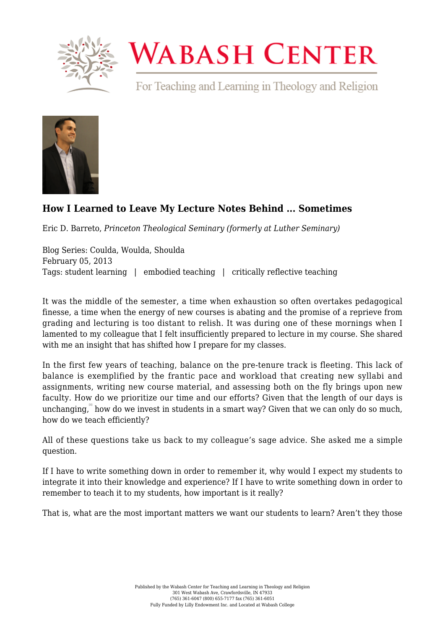

## **WABASH CENTER**

For Teaching and Learning in Theology and Religion



## **[How I Learned to Leave My Lecture Notes Behind ... Sometimes](https://www.wabashcenter.wabash.edu/2013/02/how-i-learned-to-leave-my-lecture-notes-behind-sometimes/)**

Eric D. Barreto, *Princeton Theological Seminary (formerly at Luther Seminary)*

Blog Series: Coulda, Woulda, Shoulda February 05, 2013 Tags: student learning | embodied teaching | critically reflective teaching

It was the middle of the semester, a time when exhaustion so often overtakes pedagogical finesse, a time when the energy of new courses is abating and the promise of a reprieve from grading and lecturing is too distant to relish. It was during one of these mornings when I lamented to my colleague that I felt insufficiently prepared to lecture in my course. She shared with me an insight that has shifted how I prepare for my classes.

In the first few years of teaching, balance on the pre-tenure track is fleeting. This lack of balance is exemplified by the frantic pace and workload that creating new syllabi and assignments, writing new course material, and assessing both on the fly brings upon new faculty. How do we prioritize our time and our efforts? Given that the length of our days is unchanging," how do we invest in students in a smart way? Given that we can only do so much, how do we teach efficiently?

All of these questions take us back to my colleague's sage advice. She asked me a simple question.

If I have to write something down in order to remember it, why would I expect my students to integrate it into their knowledge and experience? If I have to write something down in order to remember to teach it to my students, how important is it really?

That is, what are the most important matters we want our students to learn? Aren't they those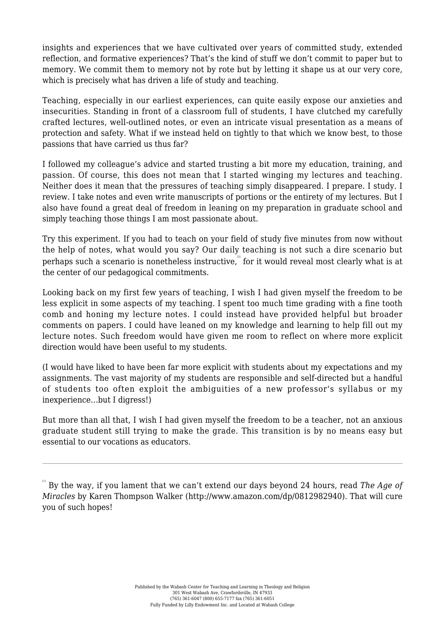insights and experiences that we have cultivated over years of committed study, extended reflection, and formative experiences? That's the kind of stuff we don't commit to paper but to memory. We commit them to memory not by rote but by letting it shape us at our very core, which is precisely what has driven a life of study and teaching.

Teaching, especially in our earliest experiences, can quite easily expose our anxieties and insecurities. Standing in front of a classroom full of students, I have clutched my carefully crafted lectures, well-outlined notes, or even an intricate visual presentation as a means of protection and safety. What if we instead held on tightly to that which we know best, to those passions that have carried us thus far?

I followed my colleague's advice and started trusting a bit more my education, training, and passion. Of course, this does not mean that I started winging my lectures and teaching. Neither does it mean that the pressures of teaching simply disappeared. I prepare. I study. I review. I take notes and even write manuscripts of portions or the entirety of my lectures. But I also have found a great deal of freedom in leaning on my preparation in graduate school and simply teaching those things I am most passionate about.

Try this experiment. If you had to teach on your field of study five minutes from now without the help of notes, what would you say? Our daily teaching is not such a dire scenario but perhaps such a scenario is nonetheless instructive, $^{\scriptscriptstyle[\mathbb{2}]}$  for it would reveal most clearly what is at the center of our pedagogical commitments.

Looking back on my first few years of teaching, I wish I had given myself the freedom to be less explicit in some aspects of my teaching. I spent too much time grading with a fine tooth comb and honing my lecture notes. I could instead have provided helpful but broader comments on papers. I could have leaned on my knowledge and learning to help fill out my lecture notes. Such freedom would have given me room to reflect on where more explicit direction would have been useful to my students.

(I would have liked to have been far more explicit with students about my expectations and my assignments. The vast majority of my students are responsible and self-directed but a handful of students too often exploit the ambiguities of a new professor's syllabus or my inexperience…but I digress!)

But more than all that, I wish I had given myself the freedom to be a teacher, not an anxious graduate student still trying to make the grade. This transition is by no means easy but essential to our vocations as educators.

 $^{\scriptscriptstyle\rm{H}}$  By the way, if you lament that we can't extend our days beyond 24 hours, read *The Age of Miracles* by Karen Thompson Walker [\(http://www.amazon.com/dp/0812982940\)](http://www.amazon.com/dp/0812982940). That will cure you of such hopes!